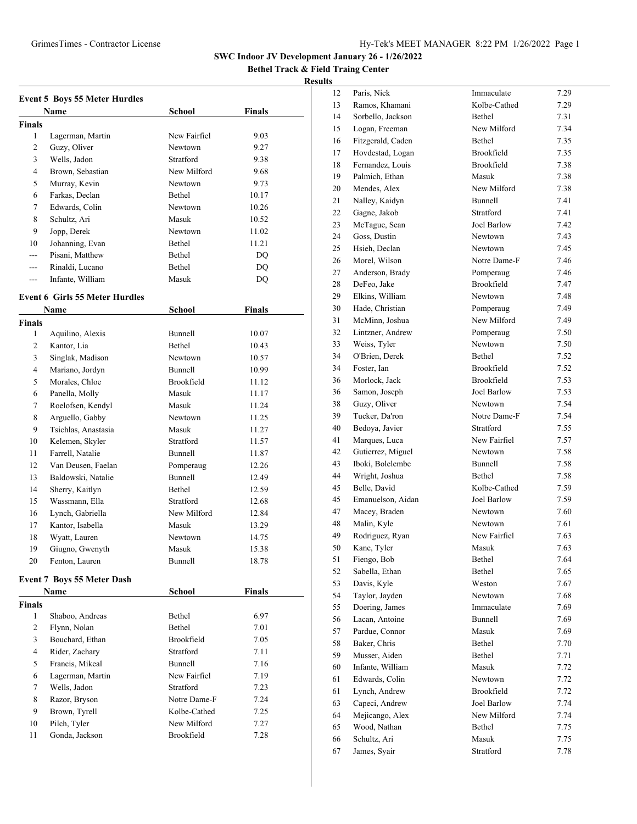**Bethel Track & Field Traing Center**

|                | <b>Event 5 Boys 55 Meter Hurdles</b>  |                |               |
|----------------|---------------------------------------|----------------|---------------|
|                | Name                                  | School         | <b>Finals</b> |
| <b>Finals</b>  |                                       |                |               |
| 1              | Lagerman, Martin                      | New Fairfiel   | 9.03          |
| 2              | Guzy, Oliver                          | Newtown        | 9.27          |
| 3              | Wells, Jadon                          | Stratford      | 9.38          |
| 4              | Brown, Sebastian                      | New Milford    | 9.68          |
| 5              | Murray, Kevin                         | Newtown        | 9.73          |
| 6              | Farkas, Declan                        | Bethel         | 10.17         |
| 7              | Edwards, Colin                        | Newtown        | 10.26         |
| 8              | Schultz, Ari                          | Masuk          | 10.52         |
| 9              | Jopp, Derek                           | Newtown        | 11.02         |
| 10             | Johanning, Evan                       | Bethel         | 11.21         |
| $---$          | Pisani, Matthew                       | Bethel         | DQ            |
| $---$          | Rinaldi, Lucano                       | Bethel         | $\rm DQ$      |
| ---            | Infante, William                      | Masuk          | DQ            |
|                | <b>Event 6 Girls 55 Meter Hurdles</b> |                |               |
|                | <b>Name</b>                           | <b>School</b>  | <b>Finals</b> |
| <b>Finals</b>  |                                       |                |               |
| 1              | Aquilino, Alexis                      | Bunnell        | 10.07         |
| $\overline{2}$ | Kantor, Lia                           | Bethel         | 10.43         |
| 3              | Singlak, Madison                      | Newtown        | 10.57         |
| 4              | Mariano, Jordyn                       | <b>Bunnell</b> | 10.99         |
| 5              | Morales, Chloe                        | Brookfield     | 11.12         |
| 6              | Panella, Molly                        | Masuk          | 11.17         |
| 7              | Roelofsen, Kendyl                     | Masuk          | 11.24         |
| 8              | Arguello, Gabby                       | Newtown        | 11.25         |
| 9              | Tsichlas, Anastasia                   | Masuk          | 11.27         |
| 10             | Kelemen, Skyler                       | Stratford      | 11.57         |
| 11             | Farrell, Natalie                      | Bunnell        | 11.87         |
| 12             | Van Deusen, Faelan                    | Pomperaug      | 12.26         |
| 13             | Baldowski, Natalie                    | Bunnell        | 12.49         |
| 14             | Sherry, Kaitlyn                       | Bethel         | 12.59         |
| 15             | Wassmann, Ella                        | Stratford      | 12.68         |
| 16             | Lynch, Gabriella                      | New Milford    | 12.84         |
| 17             | Kantor, Isabella                      | Masuk          | 13.29         |
| 18             | Wyatt, Lauren                         | Newtown        | 14.75         |
| 19             | Giugno, Gwenyth                       | Masuk          | 15.38         |
| 20             | Fenton, Lauren                        | Bunnell        | 18.78         |
|                | <b>Event 7 Boys 55 Meter Dash</b>     |                |               |
|                | Name                                  | School         | <b>Finals</b> |
| <b>Finals</b>  |                                       |                |               |
| $\mathbf{1}$   | Shaboo, Andreas                       | Bethel         | 6.97          |
| 2              | Flynn, Nolan                          | Bethel         | 7.01          |
| 3              | Bouchard, Ethan                       | Brookfield     | 7.05          |
| 4              | Rider, Zachary                        | Stratford      | 7.11          |
| 5              | Francis, Mikeal                       | Bunnell        | 7.16          |
| 6              | Lagerman, Martin                      | New Fairfiel   | 7.19          |
| 7              | Wells, Jadon                          | Stratford      | 7.23          |
| 8              | Razor, Bryson                         | Notre Dame-F   | 7.24          |
|                |                                       | Kolbe-Cathed   | 7.25          |
| 9              |                                       |                |               |
| 10             | Brown, Tyrell<br>Pilch, Tyler         | New Milford    | 7.27          |

| 12 | Paris, Nick       | Immaculate        | 7.29 |
|----|-------------------|-------------------|------|
| 13 | Ramos, Khamani    | Kolbe-Cathed      | 7.29 |
| 14 | Sorbello, Jackson | <b>Bethel</b>     | 7.31 |
| 15 | Logan, Freeman    | New Milford       | 7.34 |
| 16 | Fitzgerald, Caden | Bethel            | 7.35 |
| 17 | Hovdestad, Logan  | Brookfield        | 7.35 |
| 18 | Fernandez, Louis  | Brookfield        | 7.38 |
| 19 | Palmich, Ethan    | Masuk             | 7.38 |
| 20 | Mendes, Alex      | New Milford       | 7.38 |
| 21 | Nalley, Kaidyn    | Bunnell           | 7.41 |
| 22 | Gagne, Jakob      | Stratford         | 7.41 |
| 23 | McTague, Sean     | Joel Barlow       | 7.42 |
| 24 | Goss, Dustin      | Newtown           | 7.43 |
| 25 | Hsieh, Declan     | Newtown           | 7.45 |
| 26 | Morel, Wilson     | Notre Dame-F      | 7.46 |
| 27 | Anderson, Brady   | Pomperaug         | 7.46 |
| 28 | DeFeo, Jake       | Brookfield        | 7.47 |
| 29 | Elkins, William   | Newtown           | 7.48 |
| 30 | Hade, Christian   | Pomperaug         | 7.49 |
| 31 | McMinn, Joshua    | New Milford       | 7.49 |
| 32 | Lintzner. Andrew  | Pomperaug         | 7.50 |
| 33 | Weiss, Tyler      | Newtown           | 7.50 |
| 34 | O'Brien, Derek    | Bethel            | 7.52 |
| 34 | Foster, Ian       | <b>Brookfield</b> | 7.52 |
| 36 | Morlock, Jack     | Brookfield        | 7.53 |
| 36 | Samon, Joseph     | Joel Barlow       | 7.53 |
| 38 | Guzy, Oliver      | Newtown           | 7.54 |
| 39 | Tucker, Da'ron    | Notre Dame-F      | 7.54 |
| 40 | Bedoya, Javier    | Stratford         | 7.55 |
| 41 | Marques, Luca     | New Fairfiel      | 7.57 |
| 42 | Gutierrez, Miguel | Newtown           | 7.58 |
| 43 | Iboki, Bolelembe  | Bunnell           | 7.58 |
| 44 | Wright, Joshua    | Bethel            | 7.58 |
| 45 | Belle, David      | Kolbe-Cathed      | 7.59 |
| 45 | Emanuelson, Aidan | Joel Barlow       | 7.59 |
| 47 | Macey, Braden     | Newtown           | 7.60 |
| 48 | Malin, Kyle       | Newtown           | 7.61 |
| 49 | Rodriguez, Ryan   | New Fairfiel      | 7.63 |
| 50 | Kane, Tyler       | Masuk             | 7.63 |
| 51 | Fiengo, Bob       | Bethel            | 7.64 |
| 52 | Sabella, Ethan    | Bethel            | 7.65 |
| 53 | Davis, Kyle       | Weston            | 7.67 |
| 54 | Taylor, Jayden    | Newtown           | 7.68 |
| 55 | Doering, James    | Immaculate        | 7.69 |
| 56 | Lacan, Antoine    | Bunnell           | 7.69 |
| 57 | Pardue, Connor    | Masuk             | 7.69 |
| 58 | Baker, Chris      | Bethel            | 7.70 |
| 59 | Musser, Aiden     | Bethel            | 7.71 |
| 60 | Infante, William  | Masuk             | 7.72 |
| 61 | Edwards, Colin    | Newtown           | 7.72 |
| 61 | Lynch, Andrew     | Brookfield        | 7.72 |
| 63 | Capeci, Andrew    | Joel Barlow       | 7.74 |
| 64 | Mejicango, Alex   | New Milford       | 7.74 |
| 65 | Wood, Nathan      | Bethel            | 7.75 |
| 66 | Schultz, Ari      | Masuk             | 7.75 |
| 67 | James, Syair      | Stratford         | 7.78 |
|    |                   |                   |      |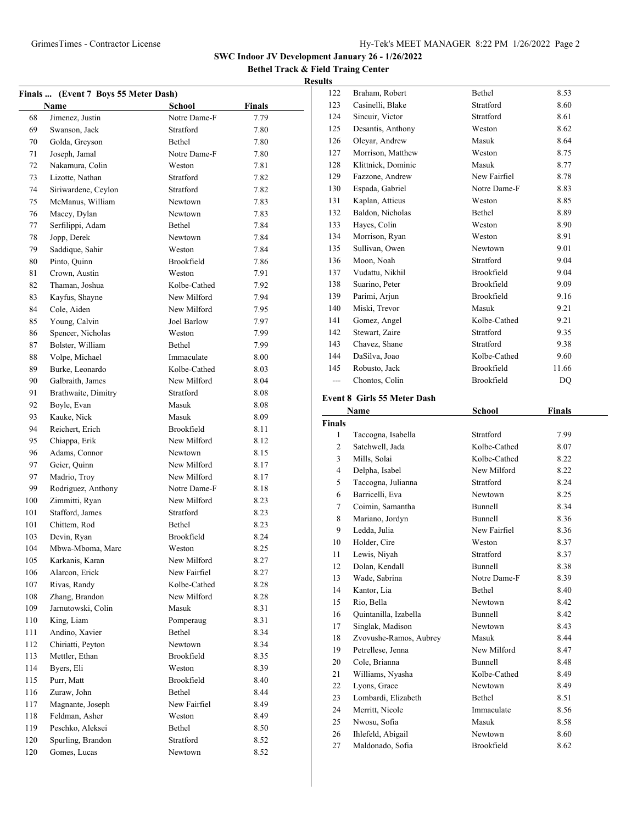**Bethel Track & Field Traing Center Results**

|            | Finals  (Event 7 Boys 55 Meter Dash) |               |               |
|------------|--------------------------------------|---------------|---------------|
|            | <b>Name</b>                          | <b>School</b> | <b>Finals</b> |
| 68         | Jimenez, Justin                      | Notre Dame-F  | 7.79          |
| 69         | Swanson, Jack                        | Stratford     | 7.80          |
| 70         | Golda, Greyson                       | Bethel        | 7.80          |
| 71         | Joseph, Jamal                        | Notre Dame-F  | 7.80          |
| 72         | Nakamura, Colin                      | Weston        | 7.81          |
| 73         | Lizotte, Nathan                      | Stratford     | 7.82          |
| 74         | Siriwardene, Ceylon                  | Stratford     | 7.82          |
| 75         | McManus, William                     | Newtown       | 7.83          |
| 76         | Macey, Dylan                         | Newtown       | 7.83          |
| 77         | Serfilippi, Adam                     | Bethel        | 7.84          |
| 78         | Jopp, Derek                          | Newtown       | 7.84          |
| 79         | Saddique, Sahir                      | Weston        | 7.84          |
| 80         | Pinto, Quinn                         | Brookfield    | 7.86          |
| 81         | Crown, Austin                        | Weston        | 7.91          |
| 82         | Thaman, Joshua                       | Kolbe-Cathed  | 7.92          |
| 83         | Kayfus, Shayne                       | New Milford   | 7.94          |
| 84         | Cole, Aiden                          | New Milford   | 7.95          |
| 85         | Young, Calvin                        | Joel Barlow   | 7.97          |
| 86         | Spencer, Nicholas                    | Weston        | 7.99          |
| 87         | Bolster, William                     | Bethel        | 7.99          |
| 88         | Volpe, Michael                       | Immaculate    | 8.00          |
| 89         | Burke, Leonardo                      | Kolbe-Cathed  | 8.03          |
| 90         | Galbraith, James                     | New Milford   | 8.04          |
| 91         | Brathwaite, Dimitry                  | Stratford     | 8.08          |
| 92         | Boyle, Evan                          | Masuk         | 8.08          |
| 93         | Kauke, Nick                          | Masuk         | 8.09          |
| 94         | Reichert, Erich                      | Brookfield    | 8.11          |
| 95         | Chiappa, Erik                        | New Milford   | 8.12          |
| 96         | Adams, Connor                        | Newtown       | 8.15          |
| 97         | Geier, Quinn                         | New Milford   | 8.17          |
| 97         | Madrio, Troy                         | New Milford   | 8.17          |
| 99         | Rodriguez, Anthony                   | Notre Dame-F  | 8.18          |
| 100        | Zimmitti, Ryan                       | New Milford   | 8.23          |
| 101        | Stafford, James                      | Stratford     | 8.23          |
| 101        | Chittem, Rod                         | Bethel        | 8.23          |
| 103        | Devin, Ryan                          | Brookfield    | 8.24          |
| 104        | Mbwa-Mboma, Marc                     | Weston        | 8.25          |
| 105        | Karkanis, Karan                      | New Milford   | 8.27          |
| 106        | Alarcon, Erick                       | New Fairfiel  | 8.27          |
| 107        | Rivas, Randy                         | Kolbe-Cathed  | 8.28          |
| 108        | Zhang, Brandon                       | New Milford   | 8.28          |
| 109        | Jarnutowski, Colin                   | Masuk         | 8.31          |
| 110        | King, Liam                           | Pomperaug     | 8.31          |
| 111        | Andino, Xavier                       | Bethel        | 8.34          |
| 112        | Chiriatti, Peyton                    | Newtown       | 8.34          |
| 113        | Mettler, Ethan                       | Brookfield    | 8.35          |
| 114        | Byers, Eli                           | Weston        | 8.39          |
| 115        | Purr, Matt                           | Brookfield    | 8.40          |
| 116        | Zuraw, John                          | Bethel        | 8.44          |
| 117        | Magnante, Joseph                     | New Fairfiel  | 8.49          |
| 118        | Feldman, Asher                       | Weston        | 8.49          |
|            | Peschko, Aleksei                     | Bethel        |               |
| 119<br>120 |                                      | Stratford     | 8.50<br>8.52  |
| 120        | Spurling, Brandon<br>Gomes, Lucas    | Newtown       |               |
|            |                                      |               | 8.52          |
|            |                                      |               |               |

| 122                | Braham, Robert                        | Bethel                | 8.53          |
|--------------------|---------------------------------------|-----------------------|---------------|
| 123                | Casinelli, Blake                      | Stratford             | 8.60          |
| 124                | Sincuir, Victor                       | Stratford             | 8.61          |
| 125                | Desantis, Anthony                     | Weston                | 8.62          |
| 126                | Oleyar, Andrew                        | Masuk                 | 8.64          |
| 127                | Morrison, Matthew                     | Weston                | 8.75          |
| 128                | Klittnick, Dominic                    | Masuk                 | 8.77          |
| 129                | Fazzone, Andrew                       | New Fairfiel          | 8.78          |
| 130                | Espada, Gabriel                       | Notre Dame-F          | 8.83          |
| 131                | Kaplan, Atticus                       | Weston                | 8.85          |
| 132                | Baldon, Nicholas                      | Bethel                | 8.89          |
| 133                | Hayes, Colin                          | Weston                | 8.90          |
| 134                | Morrison, Ryan                        | Weston                | 8.91          |
| 135                | Sullivan, Owen                        | Newtown               | 9.01          |
|                    |                                       | Stratford             |               |
| 136                | Moon, Noah                            |                       | 9.04          |
| 137                | Vudattu, Nikhil                       | Brookfield            | 9.04          |
| 138                | Suarino, Peter                        | Brookfield            | 9.09          |
| 139                | Parimi, Arjun                         | <b>Brookfield</b>     | 9.16          |
| 140                | Miski, Trevor                         | Masuk                 | 9.21          |
| 141                | Gomez, Angel                          | Kolbe-Cathed          | 9.21          |
| 142                | Stewart, Zaire                        | Stratford             | 9.35          |
| 143                | Chavez, Shane                         | Stratford             | 9.38          |
| 144                | DaSilva, Joao                         | Kolbe-Cathed          | 9.60          |
| 145                | Robusto, Jack                         | Brookfield            | 11.66         |
| ---                | Chontos, Colin                        | Brookfield            | DQ            |
|                    | <b>Event 8 Girls 55 Meter Dash</b>    |                       |               |
|                    | Name                                  | School                | <b>Finals</b> |
|                    |                                       |                       |               |
|                    |                                       |                       |               |
| <b>Finals</b><br>1 |                                       | Stratford             |               |
| 2                  | Taccogna, Isabella                    | Kolbe-Cathed          | 7.99          |
|                    | Satchwell, Jada                       |                       | 8.07          |
| 3                  | Mills, Solai                          | Kolbe-Cathed          | 8.22          |
| 4                  | Delpha, Isabel                        | New Milford           | 8.22          |
| 5                  | Taccogna, Julianna                    | Stratford             | 8.24          |
| 6                  | Barricelli, Eva                       | Newtown               | 8.25          |
| 7                  | Coimin, Samantha                      | Bunnell               | 8.34          |
| 8                  | Mariano, Jordyn                       | Bunnell               | 8.36          |
| 9                  | Ledda, Julia                          | New Fairfiel          | 8.36          |
| 10                 | Holder, Cire                          | Weston                | 8.37          |
| 11                 | Lewis, Niyah                          | Stratford             | 8.37          |
| 12                 | Dolan, Kendall                        | Bunnell               | 8.38          |
| 13                 | Wade, Sabrina                         | Notre Dame-F          | 8.39          |
| 14                 | Kantor, Lia                           | Bethel                | 8.40          |
| 15                 | Rio, Bella                            | Newtown               | 8.42          |
| 16                 | Quintanilla, Izabella                 | Bunnell               | 8.42          |
| 17                 | Singlak, Madison                      | Newtown               | 8.43          |
| 18                 | Zvovushe-Ramos, Aubrey                | Masuk                 | 8.44          |
| 19                 | Petrellese, Jenna                     | New Milford           | 8.47          |
| 20                 | Cole, Brianna                         | Bunnell               | 8.48          |
| 21                 | Williams, Nyasha                      | Kolbe-Cathed          | 8.49          |
| 22                 | Lyons, Grace                          | Newtown               | 8.49          |
| 23                 | Lombardi, Elizabeth                   | Bethel                | 8.51          |
| 24                 | Merritt, Nicole                       | Immaculate            | 8.56          |
| 25                 | Nwosu, Sofia                          | Masuk                 | 8.58          |
| 26<br>27           | Ihlefeld, Abigail<br>Maldonado, Sofia | Newtown<br>Brookfield | 8.60<br>8.62  |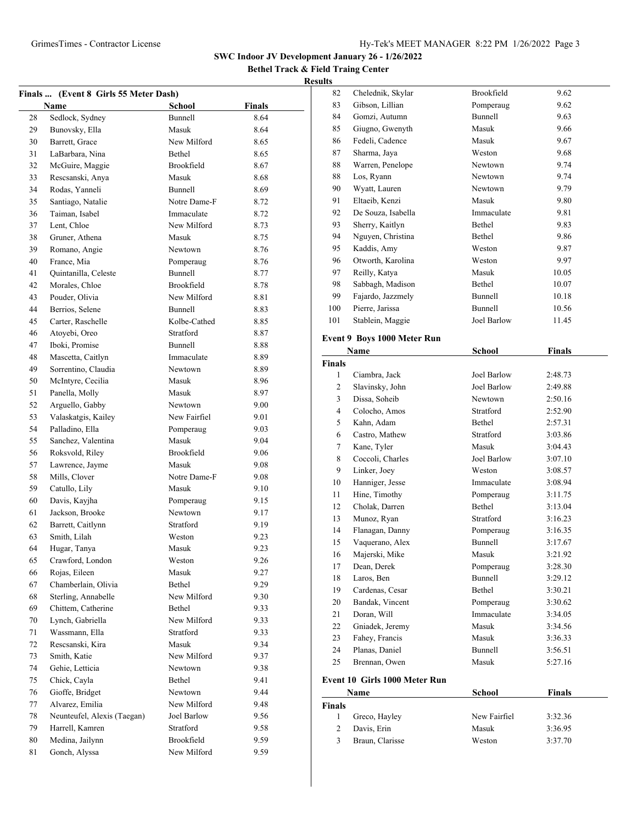**Bethel Track & Field Traing Center Results**

|    | Finals  (Event 8 Girls 55 Meter Dash) |                   |               |
|----|---------------------------------------|-------------------|---------------|
|    | Name                                  | <b>School</b>     | <b>Finals</b> |
| 28 | Sedlock, Sydney                       | Bunnell           | 8.64          |
| 29 | Bunovsky, Ella                        | Masuk             | 8.64          |
| 30 | Barrett, Grace                        | New Milford       | 8.65          |
| 31 | LaBarbara, Nina                       | Bethel            | 8.65          |
| 32 | McGuire, Maggie                       | <b>Brookfield</b> | 8.67          |
| 33 | Rescsanski, Anya                      | Masuk             | 8.68          |
| 34 | Rodas, Yanneli                        | Bunnell           | 8.69          |
| 35 | Santiago, Natalie                     | Notre Dame-F      | 8.72          |
| 36 | Taiman, Isabel                        | Immaculate        | 8.72          |
| 37 | Lent, Chloe                           | New Milford       | 8.73          |
| 38 | Gruner, Athena                        | Masuk             | 8.75          |
| 39 | Romano, Angie                         | Newtown           | 8.76          |
| 40 | France, Mia                           | Pomperaug         | 8.76          |
| 41 | Quintanilla, Celeste                  | Bunnell           | 8.77          |
| 42 | Morales, Chloe                        | Brookfield        | 8.78          |
| 43 | Pouder, Olivia                        | New Milford       | 8.81          |
| 44 | Berrios. Selene                       | Bunnell           | 8.83          |
| 45 | Carter, Raschelle                     | Kolbe-Cathed      | 8.85          |
| 46 | Atoyebi, Oreo                         | Stratford         | 8.87          |
| 47 | Iboki, Promise                        | Bunnell           | 8.88          |
| 48 | Mascetta, Caitlyn                     | Immaculate        | 8.89          |
| 49 | Sorrentino, Claudia                   | Newtown           | 8.89          |
| 50 | McIntyre, Cecilia                     | Masuk             | 8.96          |
| 51 | Panella, Molly                        | Masuk             | 8.97          |
| 52 | Arguello, Gabby                       | Newtown           | 9.00          |
| 53 | Valaskatgis, Kailey                   | New Fairfiel      | 9.01          |
| 54 | Palladino, Ella                       | Pomperaug         | 9.03          |
| 55 | Sanchez, Valentina                    | Masuk             | 9.04          |
| 56 | Roksvold, Riley                       | Brookfield        | 9.06          |
| 57 | Lawrence, Jayme                       | Masuk             | 9.08          |
| 58 | Mills, Clover                         | Notre Dame-F      | 9.08          |
| 59 | Catullo, Lily                         | Masuk             | 9.10          |
| 60 | Davis, Kayjha                         | Pomperaug         | 9.15          |
| 61 | Jackson, Brooke                       | Newtown           | 9.17          |
| 62 | Barrett, Caitlynn                     | Stratford         | 9.19          |
| 63 | Smith, Lilah                          | Weston            | 9.23          |
| 64 | Hugar, Tanya                          | Masuk             | 9.23          |
| 65 | Crawford, London                      | Weston            | 9.26          |
| 66 | Rojas, Eileen                         | Masuk             | 9.27          |
| 67 | Chamberlain, Olivia                   | Bethel            | 9.29          |
| 68 | Sterling, Annabelle                   | New Milford       | 9.30          |
| 69 | Chittem, Catherine                    | Bethel            | 9.33          |
| 70 | Lynch, Gabriella                      | New Milford       | 9.33          |
| 71 | Wassmann, Ella                        | Stratford         | 9.33          |
| 72 | Rescsanski, Kira                      | Masuk             | 9.34          |
| 73 | Smith, Katie                          | New Milford       | 9.37          |
| 74 | Gehie, Letticia                       | Newtown           | 9.38          |
| 75 | Chick, Cayla                          | Bethel            | 9.41          |
| 76 | Gioffe, Bridget                       | Newtown           | 9.44          |
| 77 | Alvarez, Emilia                       | New Milford       | 9.48          |
| 78 | Neunteufel, Alexis (Taegan)           | Joel Barlow       | 9.56          |
| 79 | Harrell, Kamren                       | Stratford         | 9.58          |
| 80 | Medina, Jailynn                       | Brookfield        | 9.59          |
| 81 | Gonch, Alyssa                         | New Milford       | 9.59          |
|    |                                       |                   |               |

| 82             | Chelednik, Skylar                  | Brookfield                | 9.62          |  |
|----------------|------------------------------------|---------------------------|---------------|--|
| 83             | Gibson, Lillian                    | Pomperaug                 | 9.62          |  |
| 84             | Gomzi, Autumn                      | <b>Bunnell</b>            | 9.63          |  |
| 85             | Giugno, Gwenyth                    | Masuk                     | 9.66          |  |
| 86             | Fedeli, Cadence                    | Masuk                     | 9.67          |  |
| 87             | Sharma, Jaya                       | Weston                    | 9.68          |  |
| 88             | Warren, Penelope                   | Newtown                   | 9.74          |  |
| 88             | Los, Ryann                         | Newtown                   | 9.74          |  |
| 90             | Wyatt, Lauren                      | Newtown                   | 9.79          |  |
| 91             | Eltaeib, Kenzi                     | Masuk                     | 9.80          |  |
| 92             | De Souza, Isabella                 | Immaculate                | 9.81          |  |
| 93             | Sherry, Kaitlyn                    | Bethel                    | 9.83          |  |
| 94             | Nguyen, Christina                  | Bethel                    | 9.86          |  |
| 95             | Kaddis, Amy                        | Weston                    | 9.87          |  |
| 96             | Otworth, Karolina                  | Weston                    | 9.97          |  |
| 97             | Reilly, Katya                      | Masuk                     | 10.05         |  |
| 98             | Sabbagh, Madison                   | Bethel                    | 10.07         |  |
| 99             | Fajardo, Jazzmely                  | Bunnell                   | 10.18         |  |
| 100            | Pierre, Jarissa                    | Bunnell                   | 10.56         |  |
| 101            | Stablein, Maggie                   | Joel Barlow               | 11.45         |  |
|                | <b>Event 9 Boys 1000 Meter Run</b> |                           |               |  |
|                | Name                               | <b>School</b>             | <b>Finals</b> |  |
| <b>Finals</b>  |                                    |                           |               |  |
| $\mathbf{1}$   | Ciambra, Jack                      | Joel Barlow               | 2:48.73       |  |
| $\overline{c}$ | Slavinsky, John                    | Joel Barlow               | 2:49.88       |  |
| 3              | Dissa, Soheib                      | Newtown                   | 2:50.16       |  |
| $\overline{4}$ | Colocho, Amos                      | Stratford                 | 2:52.90       |  |
| 5              | Kahn, Adam                         | <b>Bethel</b>             | 2:57.31       |  |
| 6              | Castro, Mathew                     | Stratford                 | 3:03.86       |  |
| $\overline{7}$ | Kane, Tyler                        | Masuk                     | 3:04.43       |  |
| 8              | Coccoli, Charles                   | Joel Barlow               | 3:07.10       |  |
| 9              | Linker, Joey                       | Weston                    | 3:08.57       |  |
| 1 <sub>0</sub> | 11 * 1                             | $\mathbf{r} = \mathbf{r}$ | 2.00.01       |  |

| 6  | Castro, Mathew                | Stratford   | 3:03.86 |
|----|-------------------------------|-------------|---------|
| 7  | Kane, Tyler                   | Masuk       | 3:04.43 |
| 8  | Coccoli, Charles              | Joel Barlow | 3:07.10 |
| 9  | Linker, Joey                  | Weston      | 3:08.57 |
| 10 | Hanniger, Jesse               | Immaculate  | 3:08.94 |
| 11 | Hine, Timothy                 | Pomperaug   | 3:11.75 |
| 12 | Cholak, Darren                | Bethel      | 3:13.04 |
| 13 | Munoz, Ryan                   | Stratford   | 3:16.23 |
| 14 | Flanagan, Danny               | Pomperaug   | 3:16.35 |
| 15 | Vaquerano, Alex               | Bunnell     | 3:17.67 |
| 16 | Majerski, Mike                | Masuk       | 3:21.92 |
| 17 | Dean, Derek                   | Pomperaug   | 3:28.30 |
| 18 | Laros, Ben                    | Bunnell     | 3:29.12 |
| 19 | Cardenas, Cesar               | Bethel      | 3:30.21 |
| 20 | Bandak, Vincent               | Pomperaug   | 3:30.62 |
| 21 | Doran, Will                   | Immaculate  | 3:34.05 |
| 22 | Gniadek, Jeremy               | Masuk       | 3:34.56 |
| 23 | Fahey, Francis                | Masuk       | 3:36.33 |
| 24 | Planas, Daniel                | Bunnell     | 3:56.51 |
| 25 | Brennan, Owen                 | Masuk       | 5:27.16 |
|    | Event 10 Girls 1000 Meter Run |             |         |

|               | Name            | School       | <b>Finals</b> |  |
|---------------|-----------------|--------------|---------------|--|
| <b>Finals</b> |                 |              |               |  |
|               | Greco, Hayley   | New Fairfiel | 3:32.36       |  |
|               | Davis, Erin     | Masuk        | 3:36.95       |  |
| $\mathcal{F}$ | Braun, Clarisse | Weston       | 3:37.70       |  |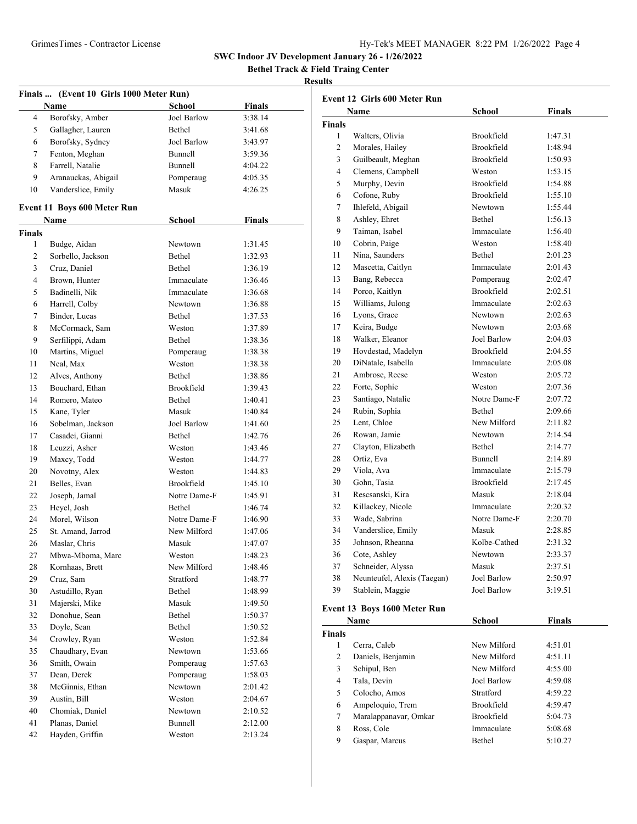**Bethel Track & Field Traing Center**

| Finals  (Event 10 Girls 1000 Meter Run) |                             |               |               |
|-----------------------------------------|-----------------------------|---------------|---------------|
|                                         | Name                        | School        | <b>Finals</b> |
| 4                                       | Borofsky, Amber             | Joel Barlow   | 3:38.14       |
| 5                                       | Gallagher, Lauren           | Bethel        | 3:41.68       |
| 6                                       | Borofsky, Sydney            | Joel Barlow   | 3:43.97       |
| 7                                       | Fenton, Meghan              | Bunnell       | 3:59.36       |
| 8                                       | Farrell, Natalie            | Bunnell       | 4:04.22       |
| 9                                       | Aranauckas, Abigail         | Pomperaug     | 4:05.35       |
| 10                                      | Vanderslice, Emily          | Masuk         | 4:26.25       |
|                                         |                             |               |               |
|                                         | Event 11 Boys 600 Meter Run |               |               |
|                                         | <b>Name</b>                 | <b>School</b> | <b>Finals</b> |
| <b>Finals</b>                           |                             |               |               |
| 1                                       | Budge, Aidan                | Newtown       | 1:31.45       |
| 2                                       | Sorbello, Jackson           | Bethel        | 1:32.93       |
| 3                                       | Cruz, Daniel                | Bethel        | 1:36.19       |
| 4                                       | Brown, Hunter               | Immaculate    | 1:36.46       |
| 5                                       | Badinelli, Nik              | Immaculate    | 1:36.68       |
| 6                                       | Harrell, Colby              | Newtown       | 1:36.88       |
| 7                                       | Binder, Lucas               | Bethel        | 1:37.53       |
| 8                                       | McCormack, Sam              | Weston        | 1:37.89       |
| 9                                       | Serfilippi, Adam            | Bethel        | 1:38.36       |
| 10                                      | Martins, Miguel             | Pomperaug     | 1:38.38       |
| 11                                      | Neal, Max                   | Weston        | 1:38.38       |
| 12                                      | Alves, Anthony              | Bethel        | 1:38.86       |
| 13                                      | Bouchard, Ethan             | Brookfield    | 1:39.43       |
| 14                                      | Romero, Mateo               | Bethel        | 1:40.41       |
| 15                                      | Kane, Tyler                 | Masuk         | 1:40.84       |
| 16                                      | Sobelman, Jackson           | Joel Barlow   | 1:41.60       |
| 17                                      | Casadei, Gianni             | Bethel        | 1:42.76       |
| 18                                      | Leuzzi, Asher               | Weston        | 1:43.46       |
| 19                                      | Maxcy, Todd                 | Weston        | 1:44.77       |
| 20                                      | Novotny, Alex               | Weston        | 1:44.83       |
| 21                                      | Belles, Evan                | Brookfield    | 1:45.10       |
| 22                                      | Joseph, Jamal               | Notre Dame-F  | 1:45.91       |
| 23                                      | Heyel, Josh                 | Bethel        | 1:46.74       |
| 24                                      | Morel, Wilson               | Notre Dame-F  | 1:46.90       |
| 25                                      | St. Amand, Jarrod           | New Milford   | 1:47.06       |
| 26                                      | Maslar, Chris               | Masuk         | 1:47.07       |
| 27                                      | Mbwa-Mboma, Marc            | Weston        | 1:48.23       |
| 28                                      | Kornhaas, Brett             | New Milford   | 1:48.46       |
| 29                                      | Cruz, Sam                   | Stratford     | 1:48.77       |
| 30                                      | Astudillo, Ryan             | Bethel        | 1:48.99       |
| 31                                      | Majerski, Mike              | Masuk         | 1:49.50       |
| 32                                      | Donohue, Sean               | Bethel        | 1:50.37       |
| 33                                      | Doyle, Sean                 | Bethel        | 1:50.52       |
| 34                                      | Crowley, Ryan               | Weston        | 1:52.84       |
| 35                                      | Chaudhary, Evan             | Newtown       | 1:53.66       |
| 36                                      | Smith, Owain                | Pomperaug     | 1:57.63       |
| 37                                      | Dean, Derek                 | Pomperaug     | 1:58.03       |
| 38                                      | McGinnis, Ethan             | Newtown       | 2:01.42       |
| 39                                      | Austin, Bill                | Weston        | 2:04.67       |
| 40                                      | Chomiak, Daniel             | Newtown       | 2:10.52       |
| 41                                      | Planas, Daniel              | Bunnell       | 2:12.00       |
| 42                                      | Hayden, Griffin             | Weston        | 2:13.24       |
|                                         |                             |               |               |

| <b>Event 12 Girls 600 Meter Run</b> |                              |                    |               |
|-------------------------------------|------------------------------|--------------------|---------------|
|                                     | Name                         | School             | <b>Finals</b> |
| <b>Finals</b>                       |                              |                    |               |
| 1                                   | Walters, Olivia              | Brookfield         | 1:47.31       |
| $\overline{c}$                      | Morales, Hailey              | <b>Brookfield</b>  | 1:48.94       |
| 3                                   | Guilbeault, Meghan           | <b>Brookfield</b>  | 1:50.93       |
| 4                                   | Clemens, Campbell            | Weston             | 1:53.15       |
| 5                                   | Murphy, Devin                | Brookfield         | 1:54.88       |
| 6                                   | Cofone, Ruby                 | Brookfield         | 1:55.10       |
| 7                                   | Ihlefeld, Abigail            | Newtown            | 1:55.44       |
| 8                                   | Ashley, Ehret                | Bethel             | 1:56.13       |
| 9                                   | Taiman, Isabel               | Immaculate         | 1:56.40       |
| 10                                  | Cobrin, Paige                | Weston             | 1:58.40       |
| 11                                  | Nina, Saunders               | <b>Bethel</b>      | 2:01.23       |
| 12                                  | Mascetta, Caitlyn            | Immaculate         | 2:01.43       |
| 13                                  | Bang, Rebecca                | Pomperaug          | 2:02.47       |
| 14                                  | Porco, Kaitlyn               | <b>Brookfield</b>  | 2:02.51       |
| 15                                  | Williams, Julong             | Immaculate         | 2:02.63       |
| 16                                  | Lyons, Grace                 | Newtown            | 2:02.63       |
| 17                                  | Keira, Budge                 | Newtown            | 2:03.68       |
| 18                                  | Walker, Eleanor              | Joel Barlow        | 2:04.03       |
| 19                                  | Hovdestad, Madelyn           | <b>Brookfield</b>  | 2:04.55       |
| 20                                  | DiNatale, Isabella           | Immaculate         | 2:05.08       |
| 21                                  | Ambrose, Reese               | Weston             | 2:05.72       |
| 22                                  | Forte, Sophie                | Weston             | 2:07.36       |
| 23                                  | Santiago, Natalie            | Notre Dame-F       | 2:07.72       |
| 24                                  | Rubin, Sophia                | Bethel             | 2:09.66       |
| 25                                  | Lent, Chloe                  | New Milford        | 2:11.82       |
| 26                                  | Rowan, Jamie                 | Newtown            | 2:14.54       |
| 27                                  | Clayton, Elizabeth           | Bethel             | 2:14.77       |
| 28                                  | Ortiz, Eva                   | Bunnell            | 2:14.89       |
| 29                                  | Viola, Ava                   | Immaculate         | 2:15.79       |
| 30                                  | Gohn, Tasia                  | Brookfield         | 2:17.45       |
| 31                                  | Rescsanski, Kira             | Masuk              | 2:18.04       |
| 32                                  | Killackey, Nicole            | Immaculate         | 2:20.32       |
| 33                                  | Wade, Sabrina                | Notre Dame-F       | 2:20.70       |
| 34                                  | Vanderslice, Emily           | Masuk              | 2:28.85       |
| 35                                  | Johnson, Rheanna             | Kolbe-Cathed       | 2:31.32       |
| 36                                  | Cote, Ashley                 | Newtown            | 2:33.37       |
| 37                                  | Schneider, Alyssa            | Masuk              | 2:37.51       |
| 38                                  | Neunteufel, Alexis (Taegan)  | <b>Joel Barlow</b> | 2:50.97       |
| 39                                  | Stablein, Maggie             | Joel Barlow        | 3:19.51       |
|                                     | Event 13 Boys 1600 Meter Run |                    |               |

| Name          |                       | School            | <b>Finals</b> |  |
|---------------|-----------------------|-------------------|---------------|--|
| <b>Finals</b> |                       |                   |               |  |
| 1             | Cerra, Caleb          | New Milford       | 4:51.01       |  |
| 2             | Daniels, Benjamin     | New Milford       | 4:51.11       |  |
| 3             | Schipul, Ben          | New Milford       | 4:55.00       |  |
| 4             | Tala, Devin           | Joel Barlow       | 4:59.08       |  |
| 5.            | Colocho, Amos         | Stratford         | 4:59.22       |  |
| 6             | Ampeloquio, Trem      | <b>Brookfield</b> | 4:59.47       |  |
| 7             | Maralappanavar, Omkar | Brookfield        | 5:04.73       |  |
| 8             | Ross, Cole            | Immaculate        | 5:08.68       |  |
| 9             | Gaspar, Marcus        | Bethel            | 5:10.27       |  |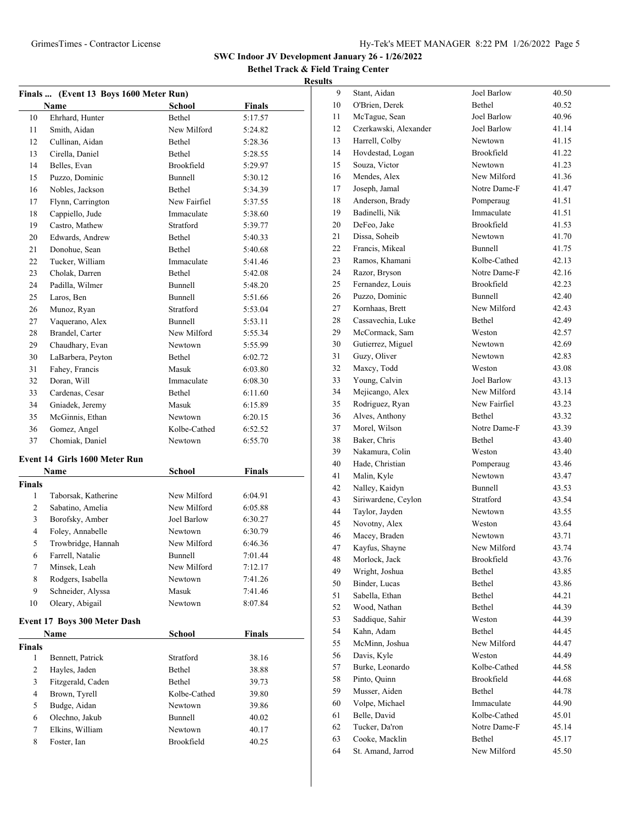**Bethel Track & Field Traing Center**

|                         | Finals  (Event 13 Boys 1600 Meter Run) |               |               |
|-------------------------|----------------------------------------|---------------|---------------|
|                         | Name                                   | School        | <b>Finals</b> |
| 10                      | Ehrhard, Hunter                        | Bethel        | 5:17.57       |
| 11                      | Smith, Aidan                           | New Milford   | 5:24.82       |
| 12                      | Cullinan, Aidan                        | Bethel        | 5:28.36       |
| 13                      | Cirella, Daniel                        | <b>Bethel</b> | 5:28.55       |
| 14                      | Belles, Evan                           | Brookfield    | 5:29.97       |
| 15                      | Puzzo, Dominic                         | Bunnell       | 5:30.12       |
| 16                      | Nobles, Jackson                        | Bethel        | 5:34.39       |
| 17                      | Flynn, Carrington                      | New Fairfiel  | 5:37.55       |
| 18                      | Cappiello, Jude                        | Immaculate    | 5:38.60       |
| 19                      | Castro, Mathew                         | Stratford     | 5:39.77       |
| 20                      | Edwards, Andrew                        | Bethel        | 5:40.33       |
| 21                      | Donohue, Sean                          | Bethel        | 5:40.68       |
| 22                      | Tucker, William                        | Immaculate    | 5:41.46       |
| 23                      | Cholak, Darren                         | Bethel        | 5:42.08       |
| 24                      | Padilla, Wilmer                        | Bunnell       | 5:48.20       |
| 25                      | Laros, Ben                             | Bunnell       | 5:51.66       |
| 26                      | Munoz, Ryan                            | Stratford     | 5:53.04       |
| 27                      | Vaquerano, Alex                        | Bunnell       | 5:53.11       |
| 28                      | Brandel, Carter                        | New Milford   | 5:55.34       |
| 29                      | Chaudhary, Evan                        | Newtown       | 5:55.99       |
| 30                      | LaBarbera, Peyton                      | Bethel        | 6:02.72       |
| 31                      | Fahey, Francis                         | Masuk         | 6:03.80       |
| 32                      | Doran, Will                            | Immaculate    | 6:08.30       |
| 33                      | Cardenas, Cesar                        | Bethel        | 6:11.60       |
| 34                      | Gniadek, Jeremy                        | Masuk         | 6:15.89       |
| 35                      | McGinnis, Ethan                        | Newtown       | 6:20.15       |
| 36                      | Gomez, Angel                           | Kolbe-Cathed  | 6:52.52       |
| 37                      | Chomiak, Daniel                        | Newtown       | 6:55.70       |
|                         |                                        |               |               |
|                         | Event 14 Girls 1600 Meter Run          |               |               |
|                         | Name                                   | School        | <b>Finals</b> |
| <b>Finals</b>           |                                        |               |               |
| 1                       | Taborsak, Katherine                    | New Milford   | 6:04.91       |
| 2                       | Sabatino, Amelia                       | New Milford   | 6:05.88       |
| 3                       | Borofsky, Amber                        | Joel Barlow   | 6:30.27       |
| 4                       | Foley, Annabelle                       | Newtown       | 6:30.79       |
| 5                       | Trowbridge, Hannah                     | New Milford   | 6:46.36       |
| 6                       | Farrell, Natalie                       | Bunnell       | 7:01.44       |
| 7                       | Minsek, Leah                           | New Milford   | 7:12.17       |
| 8                       | Rodgers, Isabella                      | Newtown       | 7:41.26       |
| 9                       | Schneider, Alyssa                      | Masuk         | 7:41.46       |
| 10                      | Oleary, Abigail                        | Newtown       | 8:07.84       |
|                         |                                        |               |               |
|                         | Event 17 Boys 300 Meter Dash           |               |               |
|                         | Name                                   | School        | Finals        |
| <b>Finals</b>           |                                        |               |               |
| 1                       | Bennett, Patrick                       | Stratford     | 38.16         |
| 2                       | Hayles, Jaden                          | Bethel        | 38.88         |
| 3                       | Fitzgerald, Caden                      | Bethel        | 39.73         |
| $\overline{\mathbf{4}}$ | Brown, Tyrell                          | Kolbe-Cathed  | 39.80         |
| 5                       | Budge, Aidan                           | Newtown       | 39.86         |
| 6                       | Olechno, Jakub                         | Bunnell       | 40.02         |
| 7                       | Elkins, William                        | Newtown       | 40.17         |
| 8                       | Foster, Ian                            | Brookfield    | 40.25         |

| <u>,</u> |                       |                   |       |
|----------|-----------------------|-------------------|-------|
| 9        | Stant, Aidan          | Joel Barlow       | 40.50 |
| 10       | O'Brien, Derek        | Bethel            | 40.52 |
| 11       | McTague, Sean         | Joel Barlow       | 40.96 |
| 12       | Czerkawski, Alexander | Joel Barlow       | 41.14 |
| 13       | Harrell, Colby        | Newtown           | 41.15 |
| 14       | Hovdestad, Logan      | <b>Brookfield</b> | 41.22 |
| 15       | Souza, Victor         | Newtown           | 41.23 |
| 16       | Mendes, Alex          | New Milford       | 41.36 |
| 17       | Joseph, Jamal         | Notre Dame-F      | 41.47 |
| 18       | Anderson, Brady       | Pomperaug         | 41.51 |
| 19       | Badinelli, Nik        | Immaculate        | 41.51 |
| 20       | DeFeo, Jake           | Brookfield        | 41.53 |
| 21       | Dissa, Soheib         | Newtown           | 41.70 |
| 22       | Francis, Mikeal       | Bunnell           | 41.75 |
| 23       | Ramos, Khamani        | Kolbe-Cathed      | 42.13 |
| 24       | Razor, Bryson         | Notre Dame-F      | 42.16 |
| 25       | Fernandez, Louis      | Brookfield        | 42.23 |
| 26       | Puzzo, Dominic        | <b>Bunnell</b>    | 42.40 |
| 27       | Kornhaas, Brett       | New Milford       | 42.43 |
| 28       | Cassavechia, Luke     | Bethel            | 42.49 |
| 29       | McCormack, Sam        | Weston            | 42.57 |
| 30       | Gutierrez, Miguel     | Newtown           | 42.69 |
| 31       | Guzy, Oliver          | Newtown           | 42.83 |
| 32       | Maxcy, Todd           | Weston            | 43.08 |
| 33       | Young, Calvin         | Joel Barlow       | 43.13 |
| 34       | Mejicango, Alex       | New Milford       | 43.14 |
| 35       | Rodriguez, Ryan       | New Fairfiel      | 43.23 |
| 36       | Alves, Anthony        | Bethel            | 43.32 |
| 37       | Morel, Wilson         | Notre Dame-F      | 43.39 |
| 38       | Baker, Chris          | Bethel            | 43.40 |
| 39       | Nakamura, Colin       | Weston            | 43.40 |
| 40       | Hade, Christian       | Pomperaug         | 43.46 |
| 41       | Malin, Kyle           | Newtown           | 43.47 |
| 42       | Nalley, Kaidyn        | Bunnell           | 43.53 |
| 43       | Siriwardene, Ceylon   | Stratford         | 43.54 |
| 44       | Taylor, Jayden        | Newtown           | 43.55 |
| 45       | Novotny, Alex         | Weston            | 43.64 |
| 46       | Macey, Braden         | Newtown           | 43.71 |
| 47       | Kayfus, Shayne        | New Milford       | 43.74 |
| 48       | Morlock, Jack         | Brookfield        | 43.76 |
| 49       | Wright, Joshua        | Bethel            | 43.85 |
| 50       | Binder, Lucas         | Bethel            | 43.86 |
| 51       | Sabella, Ethan        | Bethel            | 44.21 |
| 52       | Wood, Nathan          | Bethel            | 44.39 |
| 53       | Saddique, Sahir       | Weston            | 44.39 |
| 54       | Kahn, Adam            | Bethel            | 44.45 |
| 55       | McMinn, Joshua        | New Milford       | 44.47 |
| 56       | Davis, Kyle           | Weston            | 44.49 |
| 57       | Burke, Leonardo       | Kolbe-Cathed      | 44.58 |
| 58       | Pinto, Quinn          | Brookfield        | 44.68 |
| 59       | Musser, Aiden         | Bethel            | 44.78 |
| 60       | Volpe, Michael        | Immaculate        | 44.90 |
| 61       | Belle, David          | Kolbe-Cathed      | 45.01 |
| 62       | Tucker, Da'ron        | Notre Dame-F      | 45.14 |
| 63       | Cooke, Macklin        | Bethel            | 45.17 |
| 64       | St. Amand, Jarrod     | New Milford       | 45.50 |
|          |                       |                   |       |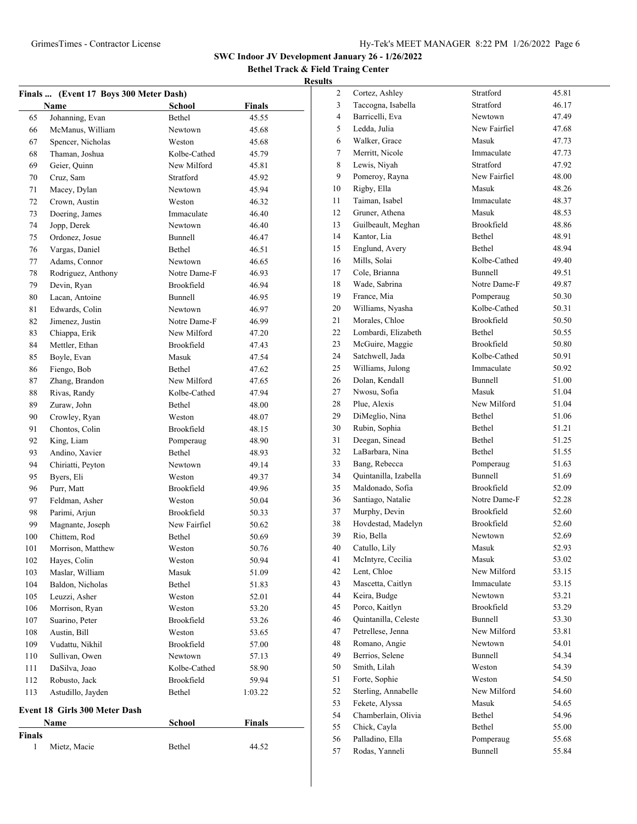**Bethel Track & Field Traing Center Results**

|        | Finals  (Event 17 Boys 300 Meter Dash) |                   |               |
|--------|----------------------------------------|-------------------|---------------|
|        | Name                                   | <b>School</b>     | Finals        |
| 65     | Johanning, Evan                        | Bethel            | 45.55         |
| 66     | McManus, William                       | Newtown           | 45.68         |
| 67     | Spencer, Nicholas                      | Weston            | 45.68         |
| 68     | Thaman, Joshua                         | Kolbe-Cathed      | 45.79         |
| 69     | Geier, Quinn                           | New Milford       | 45.81         |
| 70     | Cruz, Sam                              | Stratford         | 45.92         |
| 71     | Macey, Dylan                           | Newtown           | 45.94         |
| 72     | Crown, Austin                          | Weston            | 46.32         |
| 73     | Doering, James                         | Immaculate        | 46.40         |
| 74     | Jopp, Derek                            | Newtown           | 46.40         |
| 75     | Ordonez, Josue                         | Bunnell           | 46.47         |
| 76     | Vargas, Daniel                         | Bethel            | 46.51         |
| 77     | Adams, Connor                          | Newtown           | 46.65         |
| 78     | Rodriguez, Anthony                     | Notre Dame-F      | 46.93         |
| 79     | Devin, Ryan                            | Brookfield        | 46.94         |
| 80     | Lacan, Antoine                         | Bunnell           | 46.95         |
| 81     | Edwards, Colin                         | Newtown           | 46.97         |
| 82     | Jimenez, Justin                        | Notre Dame-F      | 46.99         |
| 83     | Chiappa, Erik                          | New Milford       | 47.20         |
| 84     | Mettler, Ethan                         | <b>Brookfield</b> | 47.43         |
| 85     | Boyle, Evan                            | Masuk             | 47.54         |
| 86     | Fiengo, Bob                            | Bethel            | 47.62         |
| 87     | Zhang, Brandon                         | New Milford       | 47.65         |
| 88     | Rivas, Randy                           | Kolbe-Cathed      | 47.94         |
| 89     | Zuraw, John                            | Bethel            | 48.00         |
| 90     | Crowley, Ryan                          | Weston            | 48.07         |
| 91     | Chontos, Colin                         | Brookfield        | 48.15         |
| 92     | King, Liam                             | Pomperaug         | 48.90         |
| 93     | Andino, Xavier                         | Bethel            | 48.93         |
| 94     | Chiriatti, Peyton                      | Newtown           | 49.14         |
| 95     | Byers, Eli                             | Weston            | 49.37         |
| 96     | Purr, Matt                             | Brookfield        | 49.96         |
| 97     | Feldman, Asher                         | Weston            | 50.04         |
| 98     | Parimi, Arjun                          | Brookfield        | 50.33         |
| 99     | Magnante, Joseph                       | New Fairfiel      | 50.62         |
| 100    | Chittem, Rod                           | Bethel            | 50.69         |
| 101    | Morrison, Matthew                      | Weston            | 50.76         |
| 102    | Hayes, Colin                           | Weston            | 50.94         |
| 103    | Maslar, William                        | Masuk             | 51.09         |
| 104    | Baldon, Nicholas                       | Bethel            | 51.83         |
| 105    | Leuzzi, Asher                          | Weston            | 52.01         |
| 106    | Morrison, Ryan                         | Weston            | 53.20         |
| 107    | Suarino, Peter                         | Brookfield        | 53.26         |
| 108    | Austin, Bill                           | Weston            | 53.65         |
| 109    | Vudattu, Nikhil                        | Brookfield        | 57.00         |
| 110    | Sullivan, Owen                         | Newtown           | 57.13         |
| 111    | DaSilva, Joao                          | Kolbe-Cathed      | 58.90         |
| 112    | Robusto, Jack                          | Brookfield        | 59.94         |
| 113    | Astudillo, Jayden                      | Bethel            | 1:03.22       |
|        |                                        |                   |               |
|        | Event 18 Girls 300 Meter Dash          |                   |               |
|        | Name                                   | School            | <b>Finals</b> |
| Finals |                                        |                   |               |
| 1      | Mietz, Macie                           | Bethel            | 44.52         |
|        |                                        |                   |               |

| 2  | Cortez, Ashley                     | Stratford         | 45.81 |
|----|------------------------------------|-------------------|-------|
| 3  | Taccogna, Isabella                 | Stratford         | 46.17 |
| 4  | Barricelli, Eva                    | Newtown           | 47.49 |
| 5  | Ledda, Julia                       | New Fairfiel      | 47.68 |
| 6  | Walker, Grace                      | Masuk             | 47.73 |
| 7  | Merritt, Nicole                    | Immaculate        | 47.73 |
| 8  | Lewis, Niyah                       | Stratford         | 47.92 |
| 9  | Pomeroy, Rayna                     | New Fairfiel      | 48.00 |
| 10 | Rigby, Ella                        | Masuk             | 48.26 |
| 11 | Taiman, Isabel                     | Immaculate        | 48.37 |
| 12 | Gruner, Athena                     | Masuk             | 48.53 |
| 13 | Guilbeault, Meghan                 | <b>Brookfield</b> | 48.86 |
| 14 | Kantor, Lia                        | Bethel            | 48.91 |
| 15 | Englund, Avery                     | Bethel            | 48.94 |
| 16 | Mills, Solai                       | Kolbe-Cathed      | 49.40 |
| 17 | Cole, Brianna                      | Bunnell           | 49.51 |
| 18 | Wade, Sabrina                      | Notre Dame-F      | 49.87 |
| 19 | France, Mia                        | Pomperaug         | 50.30 |
| 20 | Williams, Nyasha                   | Kolbe-Cathed      | 50.31 |
| 21 | Morales, Chloe                     | <b>Brookfield</b> | 50.50 |
|    | Lombardi, Elizabeth                | Bethel            |       |
| 22 |                                    | <b>Brookfield</b> | 50.55 |
| 23 | McGuire, Maggie<br>Satchwell, Jada |                   | 50.80 |
| 24 |                                    | Kolbe-Cathed      | 50.91 |
| 25 | Williams, Julong                   | Immaculate        | 50.92 |
| 26 | Dolan, Kendall                     | Bunnell           | 51.00 |
| 27 | Nwosu, Sofia                       | Masuk             | 51.04 |
| 28 | Plue, Alexis                       | New Milford       | 51.04 |
| 29 | DiMeglio, Nina                     | Bethel            | 51.06 |
| 30 | Rubin, Sophia                      | Bethel            | 51.21 |
| 31 | Deegan, Sinead                     | Bethel            | 51.25 |
| 32 | LaBarbara, Nina                    | Bethel            | 51.55 |
| 33 | Bang, Rebecca                      | Pomperaug         | 51.63 |
| 34 | Quintanilla, Izabella              | Bunnell           | 51.69 |
| 35 | Maldonado, Sofia                   | <b>Brookfield</b> | 52.09 |
| 36 | Santiago, Natalie                  | Notre Dame-F      | 52.28 |
| 37 | Murphy, Devin                      | <b>Brookfield</b> | 52.60 |
| 38 | Hovdestad, Madelyn                 | Brookfield        | 52.60 |
| 39 | Rio, Bella                         | Newtown           | 52.69 |
| 40 | Catullo, Lily                      | Masuk             | 52.93 |
| 41 | McIntyre, Cecilia                  | Masuk             | 53.02 |
| 42 | Lent, Chloe                        | New Milford       | 53.15 |
| 43 | Mascetta, Caitlyn                  | Immaculate        | 53.15 |
| 44 | Keira, Budge                       | Newtown           | 53.21 |
| 45 | Porco, Kaitlyn                     | Brookfield        | 53.29 |
| 46 | Quintanilla, Celeste               | Bunnell           | 53.30 |
| 47 | Petrellese, Jenna                  | New Milford       | 53.81 |
| 48 | Romano, Angie                      | Newtown           | 54.01 |
| 49 | Berrios, Selene                    | Bunnell           | 54.34 |
| 50 | Smith, Lilah                       | Weston            | 54.39 |
| 51 | Forte, Sophie                      | Weston            | 54.50 |
| 52 | Sterling, Annabelle                | New Milford       | 54.60 |
| 53 | Fekete, Alyssa                     | Masuk             | 54.65 |
| 54 | Chamberlain, Olivia                | Bethel            | 54.96 |
| 55 | Chick, Cayla                       | Bethel            | 55.00 |
| 56 | Palladino, Ella                    | Pomperaug         | 55.68 |
| 57 | Rodas, Yanneli                     | Bunnell           | 55.84 |
|    |                                    |                   |       |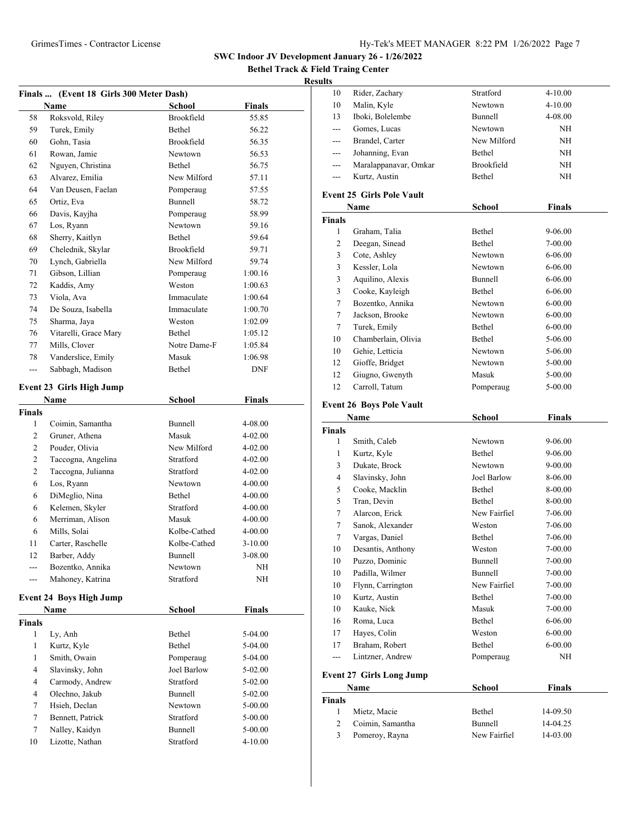**Bethel Track & Field Traing Center**

### **Result**

| Finals  (Event 18 Girls 300 Meter Dash) |                                 |                |               |  |
|-----------------------------------------|---------------------------------|----------------|---------------|--|
|                                         | <b>Name</b>                     | <b>School</b>  | <b>Finals</b> |  |
| 58                                      | Roksvold, Riley                 | Brookfield     | 55.85         |  |
| 59                                      | Turek, Emily                    | Bethel         | 56.22         |  |
| 60                                      | Gohn, Tasia                     | Brookfield     | 56.35         |  |
| 61                                      | Rowan, Jamie                    | Newtown        | 56.53         |  |
| 62                                      | Nguyen, Christina               | Bethel         | 56.75         |  |
| 63                                      | Alvarez, Emilia                 | New Milford    | 57.11         |  |
| 64                                      | Van Deusen, Faelan              | Pomperaug      | 57.55         |  |
| 65                                      | Ortiz, Eva                      | <b>Bunnell</b> | 58.72         |  |
| 66                                      | Davis, Kayjha                   | Pomperaug      | 58.99         |  |
| 67                                      | Los, Ryann                      | Newtown        | 59.16         |  |
| 68                                      | Sherry, Kaitlyn                 | Bethel         | 59.64         |  |
| 69                                      | Chelednik, Skylar               | Brookfield     | 59.71         |  |
| 70                                      | Lynch, Gabriella                | New Milford    | 59.74         |  |
| 71                                      | Gibson, Lillian                 | Pomperaug      | 1:00.16       |  |
| 72                                      | Kaddis, Amy                     | Weston         | 1:00.63       |  |
| 73                                      | Viola, Ava                      | Immaculate     | 1:00.64       |  |
| 74                                      | De Souza, Isabella              | Immaculate     | 1:00.70       |  |
| 75                                      | Sharma, Jaya                    | Weston         | 1:02.09       |  |
| 76                                      | Vitarelli, Grace Mary           | Bethel         | 1:05.12       |  |
| 77                                      | Mills, Clover                   | Notre Dame-F   | 1:05.84       |  |
| 78                                      | Vanderslice, Emily              | Masuk          | 1:06.98       |  |
| ---                                     | Sabbagh, Madison                | Bethel         | <b>DNF</b>    |  |
|                                         | <b>Event 23 Girls High Jump</b> |                |               |  |
|                                         | Name                            | <b>School</b>  | <b>Finals</b> |  |
| Finals                                  |                                 |                |               |  |
| 1                                       | Coimin, Samantha                | Bunnell        | 4-08.00       |  |
| 2                                       | Gruner, Athena                  | Masuk          | 4-02.00       |  |
| 2                                       | Pouder, Olivia                  | New Milford    | 4-02.00       |  |
| 2                                       | Taccogna, Angelina              | Stratford      | 4-02.00       |  |
| 2                                       | Taccogna, Julianna              | Stratford      | 4-02.00       |  |
| 6                                       | Los, Ryann                      | Newtown        | 4-00.00       |  |
| 6                                       | DiMeglio, Nina                  | Bethel         | 4-00.00       |  |
| 6                                       | Kelemen, Skyler                 | Stratford      | 4-00.00       |  |
| 6                                       | Merriman, Alison                | Masuk          | 4-00.00       |  |
| 6                                       | Mills, Solai                    | Kolbe-Cathed   | 4-00.00       |  |
| 11                                      | Carter, Raschelle               | Kolbe-Cathed   | $3 - 10.00$   |  |
| 12                                      | Barber, Addy                    | Bunnell        | 3-08.00       |  |
| ---                                     | Bozentko, Annika                | Newtown        | NH            |  |
| ---                                     | Mahoney, Katrina                | Stratford      | NH            |  |
|                                         |                                 |                |               |  |
|                                         | <b>Event 24 Boys High Jump</b>  |                |               |  |
| <b>Finals</b>                           | Name                            | <b>School</b>  | <b>Finals</b> |  |
| 1                                       | Ly, Anh                         | Bethel         | $5-04.00$     |  |
| $\mathbf{1}$                            | Kurtz, Kyle                     | Bethel         | $5-04.00$     |  |
| $\mathbf{1}$                            | Smith, Owain                    | Pomperaug      | 5-04.00       |  |
| 4                                       | Slavinsky, John                 | Joel Barlow    | $5-02.00$     |  |
| 4                                       | Carmody, Andrew                 | Stratford      | $5-02.00$     |  |
| 4                                       | Olechno, Jakub                  | Bunnell        | 5-02.00       |  |
| 7                                       | Hsieh, Declan                   | Newtown        | 5-00.00       |  |
| 7                                       | Bennett, Patrick                | Stratford      | $5 - 00.00$   |  |
| 7                                       | Nalley, Kaidyn                  | Bunnell        | 5-00.00       |  |
| 10                                      | Lizotte, Nathan                 | Stratford      | 4-10.00       |  |
|                                         |                                 |                |               |  |

| .s  |                       |                |             |  |
|-----|-----------------------|----------------|-------------|--|
| 10  | Rider, Zachary        | Stratford      | $4 - 10.00$ |  |
| 10  | Malin, Kyle           | Newtown        | $4 - 10.00$ |  |
| 13  | Iboki, Bolelembe      | <b>Bunnell</b> | 4-08.00     |  |
|     | Gomes, Lucas          | Newtown        | ΝH          |  |
| --- | Brandel, Carter       | New Milford    | NH          |  |
| --- | Johanning, Evan       | Bethel         | ΝH          |  |
| --- | Maralappanavar, Omkar | Brookfield     | NH          |  |
|     | Kurtz, Austin         | Bethel         | NH          |  |
|     |                       |                |             |  |

# **Event 25 Girls Pole Vault**

| Name          |                     | School    | <b>Finals</b> |  |
|---------------|---------------------|-----------|---------------|--|
| <b>Finals</b> |                     |           |               |  |
| 1             | Graham, Talia       | Bethel    | $9 - 06.00$   |  |
| 2             | Deegan, Sinead      | Bethel    | 7-00.00       |  |
| 3             | Cote, Ashley        | Newtown   | $6 - 06.00$   |  |
| 3             | Kessler, Lola       | Newtown   | $6 - 06.00$   |  |
| 3             | Aquilino, Alexis    | Bunnell   | $6 - 06.00$   |  |
| 3             | Cooke, Kayleigh     | Bethel    | $6 - 06.00$   |  |
| 7             | Bozentko, Annika    | Newtown   | $6 - 00.00$   |  |
| 7             | Jackson, Brooke     | Newtown   | $6 - 00.00$   |  |
| 7             | Turek, Emily        | Bethel    | $6 - 00.00$   |  |
| 10            | Chamberlain, Olivia | Bethel    | 5-06.00       |  |
| 10            | Gehie, Letticia     | Newtown   | $5-06.00$     |  |
| 12            | Gioffe, Bridget     | Newtown   | 5-00.00       |  |
| 12            | Giugno, Gwenyth     | Masuk     | 5-00.00       |  |
| 12            | Carroll, Tatum      | Pomperaug | $5-00.00$     |  |

### **Event 26 Boys Pole Vault**

| Name           |                                 | School             | Finals      |
|----------------|---------------------------------|--------------------|-------------|
| <b>Finals</b>  |                                 |                    |             |
| 1              | Smith, Caleb                    | Newtown            | $9 - 06.00$ |
| 1              | Kurtz, Kyle                     | Bethel             | $9 - 06.00$ |
| 3              | Dukate, Brock                   | Newtown            | $9 - 00.00$ |
| $\overline{4}$ | Slavinsky, John                 | <b>Joel Barlow</b> | 8-06.00     |
| 5              | Cooke, Macklin                  | <b>Bethel</b>      | 8-00.00     |
| 5              | Tran, Devin                     | <b>Bethel</b>      | 8-00.00     |
| 7              | Alarcon, Erick                  | New Fairfiel       | 7-06.00     |
| 7              | Sanok, Alexander                | Weston             | 7-06.00     |
| $\overline{7}$ | Vargas, Daniel                  | Bethel             | 7-06.00     |
| 10             | Desantis, Anthony               | Weston             | 7-00.00     |
| 10             | Puzzo, Dominic                  | <b>Bunnell</b>     | 7-00.00     |
| 10             | Padilla, Wilmer                 | <b>Bunnell</b>     | $7 - 00.00$ |
| 10             | Flynn, Carrington               | New Fairfiel       | 7-00.00     |
| 10             | Kurtz, Austin                   | Bethel             | 7-00.00     |
| 10             | Kauke, Nick                     | Masuk              | 7-00.00     |
| 16             | Roma, Luca                      | Bethel             | $6 - 06.00$ |
| 17             | Haves, Colin                    | Weston             | $6 - 00.00$ |
| 17             | Braham, Robert                  | Bethel             | $6 - 00.00$ |
| ---            | Lintzner, Andrew                | Pomperaug          | NH          |
|                | <b>Event 27 Girls Long Jump</b> |                    |             |
|                | Name                            | School             | Finals      |
| <b>Finals</b>  |                                 |                    |             |
| 1              | Mietz, Macie                    | Bethel             | 14-09.50    |
| $\overline{c}$ | Coimin. Samantha                | Bunnell            | 14-04.25    |

Pomeroy, Rayna New Fairfiel 14-03.00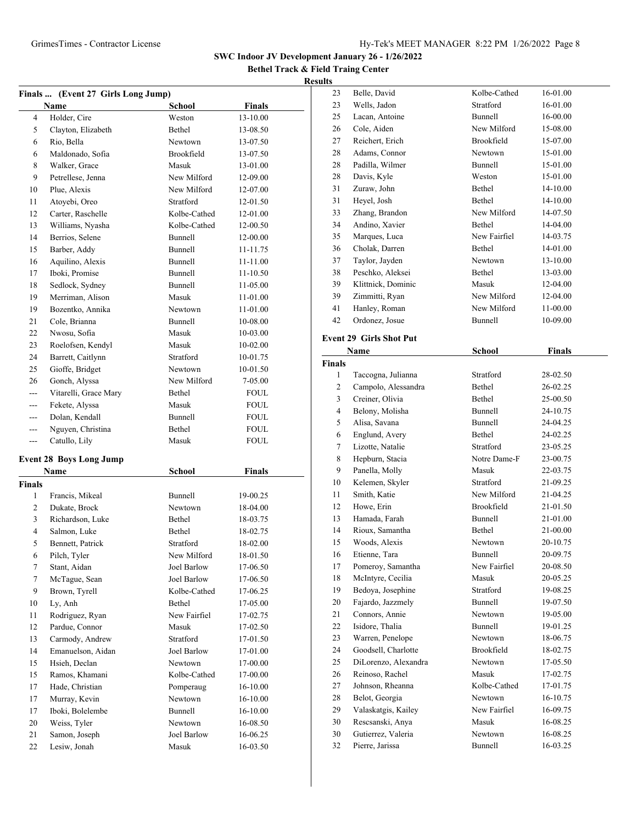**Bethel Track & Field Traing Center**

### **Results**

| Finals  (Event 27 Girls Long Jump) |                                |               |               |  |
|------------------------------------|--------------------------------|---------------|---------------|--|
|                                    | Name                           | <b>School</b> | <b>Finals</b> |  |
| 4                                  | Holder, Cire                   | Weston        | 13-10.00      |  |
| 5                                  | Clayton, Elizabeth             | Bethel        | 13-08.50      |  |
| 6                                  | Rio, Bella                     | Newtown       | 13-07.50      |  |
| 6                                  | Maldonado, Sofia               | Brookfield    | 13-07.50      |  |
| 8                                  | Walker, Grace                  | Masuk         | 13-01.00      |  |
| 9                                  | Petrellese, Jenna              | New Milford   | 12-09.00      |  |
| 10                                 | Plue, Alexis                   | New Milford   | 12-07.00      |  |
| 11                                 | Atoyebi, Oreo                  | Stratford     | 12-01.50      |  |
| 12                                 | Carter, Raschelle              | Kolbe-Cathed  | 12-01.00      |  |
| 13                                 | Williams, Nyasha               | Kolbe-Cathed  | 12-00.50      |  |
| 14                                 | Berrios, Selene                | Bunnell       | 12-00.00      |  |
| 15                                 | Barber, Addy                   | Bunnell       | 11-11.75      |  |
| 16                                 | Aquilino, Alexis               | Bunnell       | 11-11.00      |  |
| 17                                 | Iboki, Promise                 | Bunnell       | 11-10.50      |  |
| 18                                 | Sedlock, Sydney                | Bunnell       | 11-05.00      |  |
| 19                                 | Merriman, Alison               | Masuk         | 11-01.00      |  |
| 19                                 | Bozentko, Annika               | Newtown       | 11-01.00      |  |
| 21                                 | Cole, Brianna                  | Bunnell       | 10-08.00      |  |
| 22                                 | Nwosu, Sofia                   | Masuk         | 10-03.00      |  |
| 23                                 | Roelofsen, Kendyl              | Masuk         | 10-02.00      |  |
| 24                                 | Barrett, Caitlynn              | Stratford     | 10-01.75      |  |
| 25                                 | Gioffe, Bridget                | Newtown       | 10-01.50      |  |
| 26                                 | Gonch, Alyssa                  | New Milford   | 7-05.00       |  |
| $- - -$                            | Vitarelli, Grace Mary          | Bethel        | FOUL          |  |
| ---                                | Fekete, Alyssa                 | Masuk         | FOUL          |  |
| ---                                | Dolan, Kendall                 | Bunnell       | <b>FOUL</b>   |  |
| ---                                | Nguyen, Christina              | Bethel        | <b>FOUL</b>   |  |
| ---                                | Catullo, Lily                  | Masuk         | <b>FOUL</b>   |  |
|                                    | <b>Event 28 Boys Long Jump</b> |               |               |  |
|                                    | Name                           | <b>School</b> | <b>Finals</b> |  |
| Finals                             |                                |               |               |  |
| 1                                  | Francis, Mikeal                | Bunnell       | 19-00.25      |  |
| 2                                  | Dukate, Brock                  | Newtown       | 18-04.00      |  |
| 3                                  | Richardson, Luke               | Bethel        | 18-03.75      |  |
| 4                                  | Salmon, Luke                   | Bethel        | 18-02.75      |  |
| 5                                  | Bennett, Patrick               | Stratford     | 18-02.00      |  |
| 6                                  | Pilch, Tyler                   | New Milford   | 18-01.50      |  |
| $\tau$                             | Stant, Aidan                   | Joel Barlow   | 17-06.50      |  |
| $\boldsymbol{7}$                   | McTague, Sean                  | Joel Barlow   | 17-06.50      |  |
| 9                                  | Brown, Tyrell                  | Kolbe-Cathed  | 17-06.25      |  |
| 10                                 | Ly, Anh                        | Bethel        | 17-05.00      |  |
| 11                                 | Rodriguez, Ryan                | New Fairfiel  | 17-02.75      |  |
| 12                                 | Pardue, Connor                 | Masuk         | 17-02.50      |  |
| 13                                 | Carmody, Andrew                | Stratford     | 17-01.50      |  |
| 14                                 | Emanuelson, Aidan              | Joel Barlow   | 17-01.00      |  |
| 15                                 | Hsieh, Declan                  | Newtown       | 17-00.00      |  |
| 15                                 | Ramos, Khamani                 | Kolbe-Cathed  | 17-00.00      |  |
| 17                                 | Hade, Christian                | Pomperaug     | 16-10.00      |  |
| 17                                 | Murray, Kevin                  | Newtown       | 16-10.00      |  |
| 17                                 | Iboki, Bolelembe               | Bunnell       | $16 - 10.00$  |  |
| 20                                 | Weiss, Tyler                   | Newtown       | 16-08.50      |  |
| 21                                 | Samon, Joseph                  | Joel Barlow   | 16-06.25      |  |
| $22\,$                             | Lesiw, Jonah                   | Masuk         | 16-03.50      |  |

| 23                      | Belle, David                   | Kolbe-Cathed   | 16-01.00 |  |
|-------------------------|--------------------------------|----------------|----------|--|
| 23                      | Wells, Jadon                   | Stratford      | 16-01.00 |  |
| 25                      | Lacan, Antoine                 | Bunnell        | 16-00.00 |  |
| 26                      | Cole, Aiden                    | New Milford    | 15-08.00 |  |
| 27                      | Reichert, Erich                | Brookfield     | 15-07.00 |  |
| 28                      | Adams, Connor                  | Newtown        | 15-01.00 |  |
| 28                      | Padilla, Wilmer                | Bunnell        | 15-01.00 |  |
| 28                      | Davis, Kyle                    | Weston         | 15-01.00 |  |
| 31                      | Zuraw, John                    | Bethel         | 14-10.00 |  |
| 31                      | Heyel, Josh                    | Bethel         | 14-10.00 |  |
| 33                      | Zhang, Brandon                 | New Milford    | 14-07.50 |  |
| 34                      | Andino, Xavier                 | Bethel         | 14-04.00 |  |
| 35                      | Marques, Luca                  | New Fairfiel   | 14-03.75 |  |
| 36                      | Cholak, Darren                 | Bethel         | 14-01.00 |  |
| 37                      | Taylor, Jayden                 | Newtown        | 13-10.00 |  |
| 38                      | Peschko, Aleksei               | Bethel         | 13-03.00 |  |
| 39                      | Klittnick, Dominic             | Masuk          | 12-04.00 |  |
| 39                      | Zimmitti, Ryan                 | New Milford    | 12-04.00 |  |
| 41                      | Hanley, Roman                  | New Milford    | 11-00.00 |  |
| 42                      | Ordonez, Josue                 | <b>Bunnell</b> | 10-09.00 |  |
|                         |                                |                |          |  |
|                         | <b>Event 29 Girls Shot Put</b> |                |          |  |
|                         | Name                           | School         | Finals   |  |
| <b>Finals</b>           |                                |                |          |  |
| 1                       | Taccogna, Julianna             | Stratford      | 28-02.50 |  |
| $\overline{\mathbf{c}}$ | Campolo, Alessandra            | Bethel         | 26-02.25 |  |
| 3                       | Creiner, Olivia                | Bethel         | 25-00.50 |  |
| 4                       | Belony, Molisha                | Bunnell        | 24-10.75 |  |
| 5                       | Alisa, Savana                  | Bunnell        | 24-04.25 |  |
| 6                       | Englund, Avery                 | Bethel         | 24-02.25 |  |
| 7                       | Lizotte, Natalie               | Stratford      | 23-05.25 |  |
| 8                       | Hepburn, Stacia                | Notre Dame-F   | 23-00.75 |  |
| 9                       | Panella, Molly                 | Masuk          | 22-03.75 |  |
| 10                      | Kelemen, Skyler                | Stratford      | 21-09.25 |  |
| 11                      | Smith, Katie                   | New Milford    | 21-04.25 |  |
| 12                      | Howe, Erin                     | Brookfield     | 21-01.50 |  |
| 13                      | Hamada, Farah                  | Bunnell        | 21-01.00 |  |
| 14                      | Rioux, Samantha                | Bethel         | 21-00.00 |  |
| 15                      | Woods, Alexis                  | Newtown        | 20-10.75 |  |
| 16                      | Etienne, Tara                  | Bunnell        | 20-09.75 |  |
| 17                      | Pomeroy, Samantha              | New Fairfiel   | 20-08.50 |  |
| 18                      | McIntyre, Cecilia              | Masuk          | 20-05.25 |  |
| 19                      | Bedoya, Josephine              | Stratford      | 19-08.25 |  |
| 20                      | Fajardo, Jazzmely              | Bunnell        | 19-07.50 |  |
| 21                      | Connors, Annie                 | Newtown        | 19-05.00 |  |
| 22                      | Isidore, Thalia                | Bunnell        | 19-01.25 |  |
| 23                      | Warren, Penelope               | Newtown        | 18-06.75 |  |
| 24                      | Goodsell, Charlotte            | Brookfield     | 18-02.75 |  |
| 25                      | DiLorenzo, Alexandra           | Newtown        | 17-05.50 |  |
| 26                      | Reinoso, Rachel                | Masuk          | 17-02.75 |  |
| 27                      | Johnson, Rheanna               | Kolbe-Cathed   | 17-01.75 |  |
| 28                      | Belot, Georgia                 | Newtown        | 16-10.75 |  |
| 29                      | Valaskatgis, Kailey            | New Fairfiel   | 16-09.75 |  |
| 30                      | Rescsanski, Anya               | Masuk          | 16-08.25 |  |
| 30                      | Gutierrez, Valeria             | Newtown        | 16-08.25 |  |
|                         |                                |                |          |  |

Pierre, Jarissa Bunnell 16-03.25